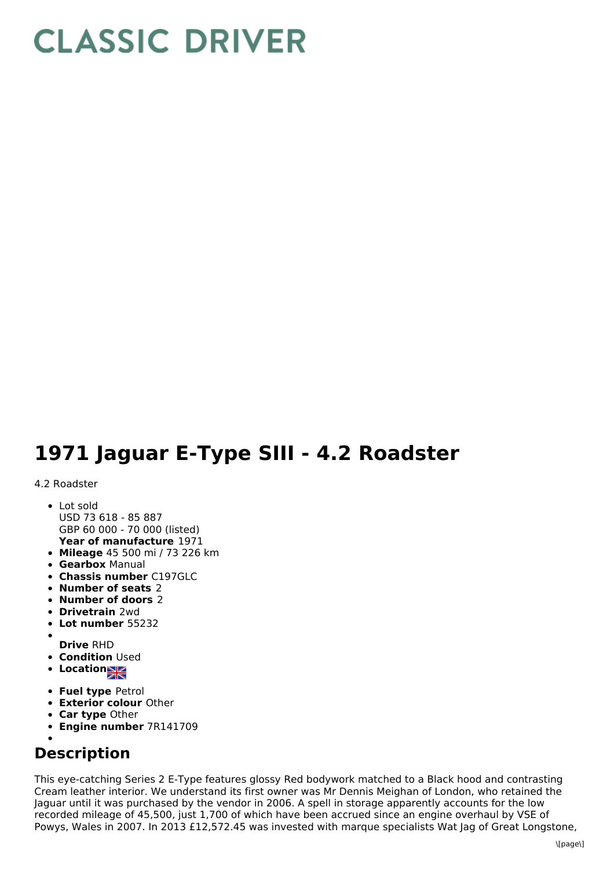## **CLASSIC DRIVER**

## **1971 Jaguar E-Type SIII - 4.2 Roadster**

## 4.2 Roadster

- **Year of manufacture** 1971 • Lot sold USD 73 618 - 85 887 GBP 60 000 - 70 000 (listed)
- **Mileage** 45 500 mi / 73 226 km
- **Gearbox** Manual
- **Chassis number** C197GLC
- **Number of seats** 2
- **Number of doors** 2
- **Drivetrain** 2wd
- **Lot number** 55232
- **Drive** RHD
- **Condition Used**
- **Location**
- **Fuel type** Petrol
- **Exterior colour** Other
- **Car type** Other
- **Engine number** 7R141709
- 

## **Description**

This eye-catching Series 2 E-Type features glossy Red bodywork matched to a Black hood and contrasting Cream leather interior. We understand its first owner was Mr Dennis Meighan of London, who retained the Jaguar until it was purchased by the vendor in 2006. A spell in storage apparently accounts for the low recorded mileage of 45,500, just 1,700 of which have been accrued since an engine overhaul by VSE of Powys, Wales in 2007. In 2013 £12,572.45 was invested with marque specialists Wat Jag of Great Longstone,